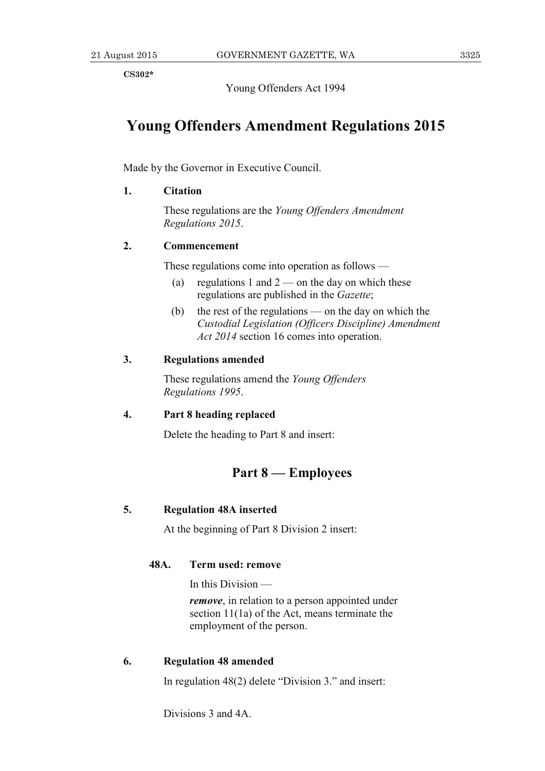**CS302\*** 

Young Offenders Act 1994

# **Young Offenders Amendment Regulations 2015**

Made by the Governor in Executive Council.

### **1. Citation**

 These regulations are the *Young Offenders Amendment Regulations 2015*.

## **2. Commencement**

These regulations come into operation as follows —

- (a) regulations 1 and  $2$  on the day on which these regulations are published in the *Gazette*;
- (b) the rest of the regulations on the day on which the *Custodial Legislation (Officers Discipline) Amendment Act 2014* section 16 comes into operation.

## **3. Regulations amended**

 These regulations amend the *Young Offenders Regulations 1995*.

#### **4. Part 8 heading replaced**

Delete the heading to Part 8 and insert:

## **Part 8 — Employees**

### **5. Regulation 48A inserted**

At the beginning of Part 8 Division 2 insert:

#### **48A. Term used: remove**

In this Division —

*remove*, in relation to a person appointed under section 11(1a) of the Act, means terminate the employment of the person.

#### **6. Regulation 48 amended**

In regulation 48(2) delete "Division 3." and insert:

Divisions 3 and 4A.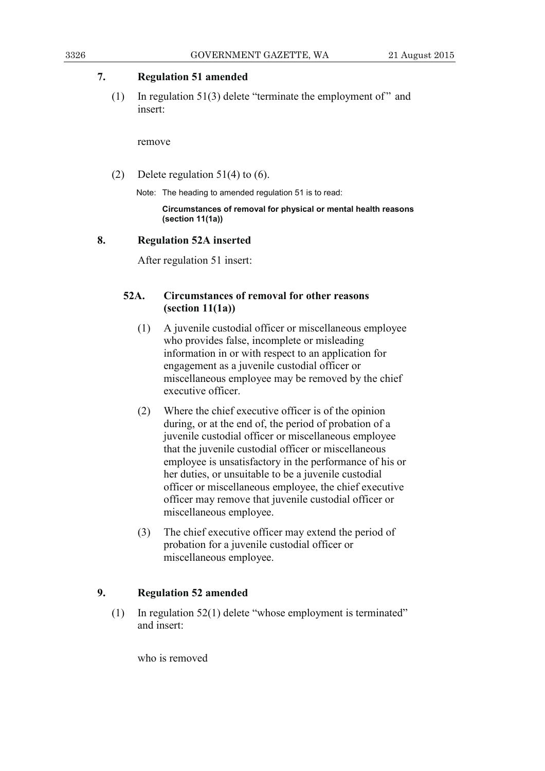## **7. Regulation 51 amended**

(1) In regulation 51(3) delete "terminate the employment of" and insert:

remove

(2) Delete regulation  $51(4)$  to (6).

Note: The heading to amended regulation 51 is to read:

 **Circumstances of removal for physical or mental health reasons (section 11(1a))** 

#### **8. Regulation 52A inserted**

After regulation 51 insert:

## **52A. Circumstances of removal for other reasons (section 11(1a))**

- (1) A juvenile custodial officer or miscellaneous employee who provides false, incomplete or misleading information in or with respect to an application for engagement as a juvenile custodial officer or miscellaneous employee may be removed by the chief executive officer.
- (2) Where the chief executive officer is of the opinion during, or at the end of, the period of probation of a juvenile custodial officer or miscellaneous employee that the juvenile custodial officer or miscellaneous employee is unsatisfactory in the performance of his or her duties, or unsuitable to be a juvenile custodial officer or miscellaneous employee, the chief executive officer may remove that juvenile custodial officer or miscellaneous employee.
- (3) The chief executive officer may extend the period of probation for a juvenile custodial officer or miscellaneous employee.

## **9. Regulation 52 amended**

 (1) In regulation 52(1) delete "whose employment is terminated" and insert:

who is removed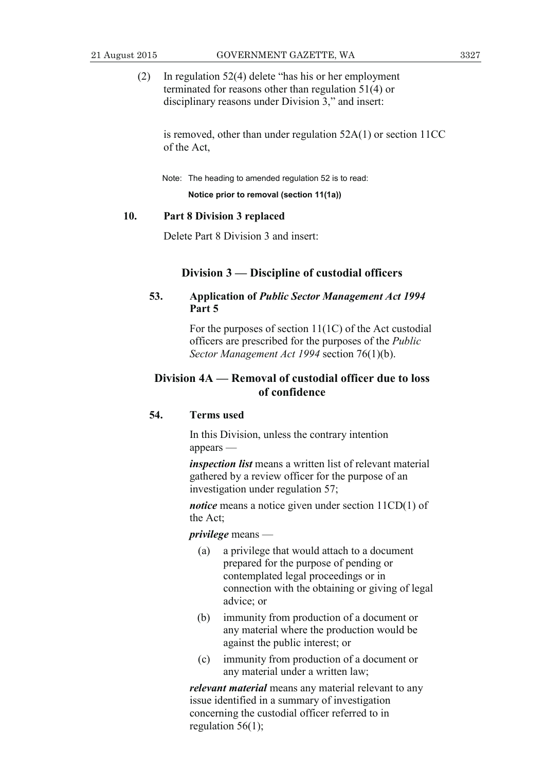- 
- (2) In regulation 52(4) delete "has his or her employment terminated for reasons other than regulation 51(4) or disciplinary reasons under Division 3," and insert:

 is removed, other than under regulation 52A(1) or section 11CC of the Act,

Note: The heading to amended regulation 52 is to read:

**Notice prior to removal (section 11(1a))** 

#### **10. Part 8 Division 3 replaced**

Delete Part 8 Division 3 and insert:

#### **Division 3 — Discipline of custodial officers**

## **53. Application of** *Public Sector Management Act 1994*  **Part 5**

 For the purposes of section 11(1C) of the Act custodial officers are prescribed for the purposes of the *Public Sector Management Act 1994* section 76(1)(b).

## **Division 4A — Removal of custodial officer due to loss of confidence**

## **54. Terms used**

 In this Division, unless the contrary intention appears —

*inspection list* means a written list of relevant material gathered by a review officer for the purpose of an investigation under regulation 57;

*notice* means a notice given under section 11CD(1) of the Act;

*privilege* means —

- (a) a privilege that would attach to a document prepared for the purpose of pending or contemplated legal proceedings or in connection with the obtaining or giving of legal advice; or
- (b) immunity from production of a document or any material where the production would be against the public interest; or
- (c) immunity from production of a document or any material under a written law;

*relevant material* means any material relevant to any issue identified in a summary of investigation concerning the custodial officer referred to in regulation  $56(1)$ ;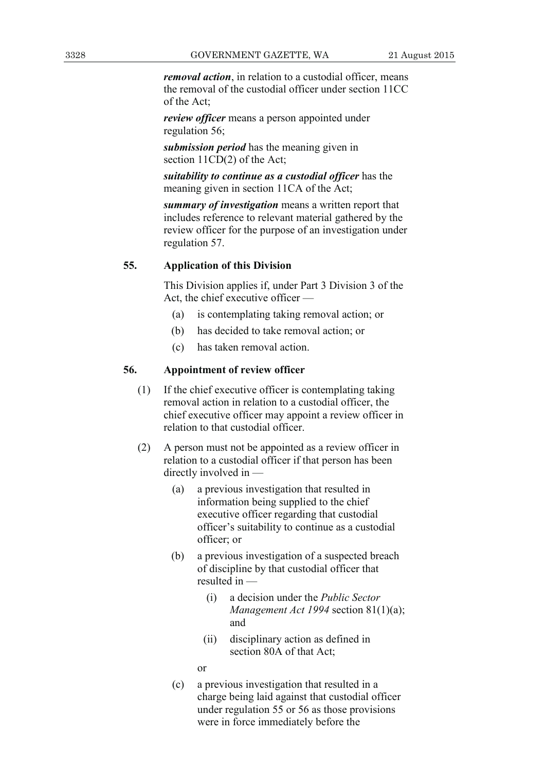*removal action*, in relation to a custodial officer, means the removal of the custodial officer under section 11CC of the Act;

*review officer* means a person appointed under regulation 56;

*submission period* has the meaning given in section 11CD(2) of the Act;

*suitability to continue as a custodial officer* has the meaning given in section 11CA of the Act;

 *summary of investigation* means a written report that includes reference to relevant material gathered by the review officer for the purpose of an investigation under regulation 57.

## **55. Application of this Division**

 This Division applies if, under Part 3 Division 3 of the Act, the chief executive officer —

- (a) is contemplating taking removal action; or
- (b) has decided to take removal action; or
- (c) has taken removal action.

#### **56. Appointment of review officer**

- (1) If the chief executive officer is contemplating taking removal action in relation to a custodial officer, the chief executive officer may appoint a review officer in relation to that custodial officer.
- (2) A person must not be appointed as a review officer in relation to a custodial officer if that person has been directly involved in —
	- (a) a previous investigation that resulted in information being supplied to the chief executive officer regarding that custodial officer's suitability to continue as a custodial officer; or
	- (b) a previous investigation of a suspected breach of discipline by that custodial officer that resulted in —
		- (i) a decision under the *Public Sector Management Act 1994* section 81(1)(a); and
		- (ii) disciplinary action as defined in section 80A of that Act;
		- or
	- (c) a previous investigation that resulted in a charge being laid against that custodial officer under regulation 55 or 56 as those provisions were in force immediately before the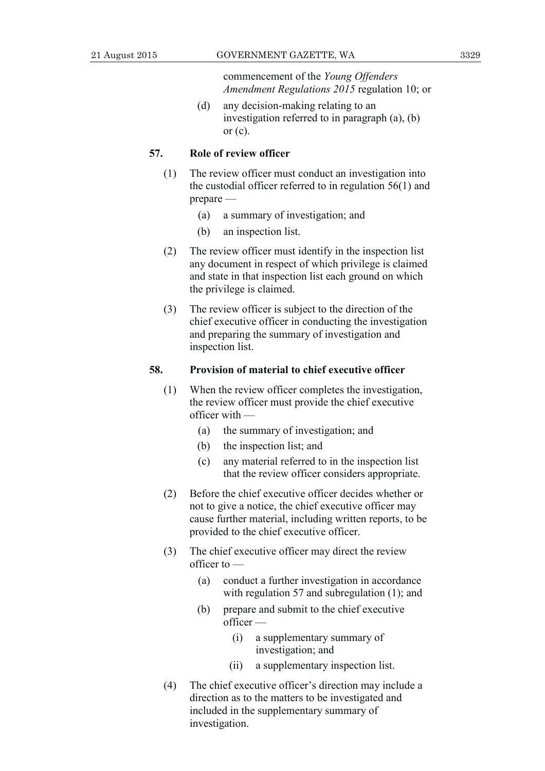commencement of the *Young Offenders Amendment Regulations 2015* regulation 10; or

 (d) any decision-making relating to an investigation referred to in paragraph (a), (b) or  $(c)$ .

#### **57. Role of review officer**

- (1) The review officer must conduct an investigation into the custodial officer referred to in regulation 56(1) and prepare —
	- (a) a summary of investigation; and
	- (b) an inspection list.
- (2) The review officer must identify in the inspection list any document in respect of which privilege is claimed and state in that inspection list each ground on which the privilege is claimed.
- (3) The review officer is subject to the direction of the chief executive officer in conducting the investigation and preparing the summary of investigation and inspection list.

#### **58. Provision of material to chief executive officer**

- (1) When the review officer completes the investigation, the review officer must provide the chief executive officer with —
	- (a) the summary of investigation; and
	- (b) the inspection list; and
	- (c) any material referred to in the inspection list that the review officer considers appropriate.
- (2) Before the chief executive officer decides whether or not to give a notice, the chief executive officer may cause further material, including written reports, to be provided to the chief executive officer.
- (3) The chief executive officer may direct the review officer to —
	- (a) conduct a further investigation in accordance with regulation 57 and subregulation (1); and
	- (b) prepare and submit to the chief executive officer —
		- (i) a supplementary summary of investigation; and
		- (ii) a supplementary inspection list.
- (4) The chief executive officer's direction may include a direction as to the matters to be investigated and included in the supplementary summary of investigation.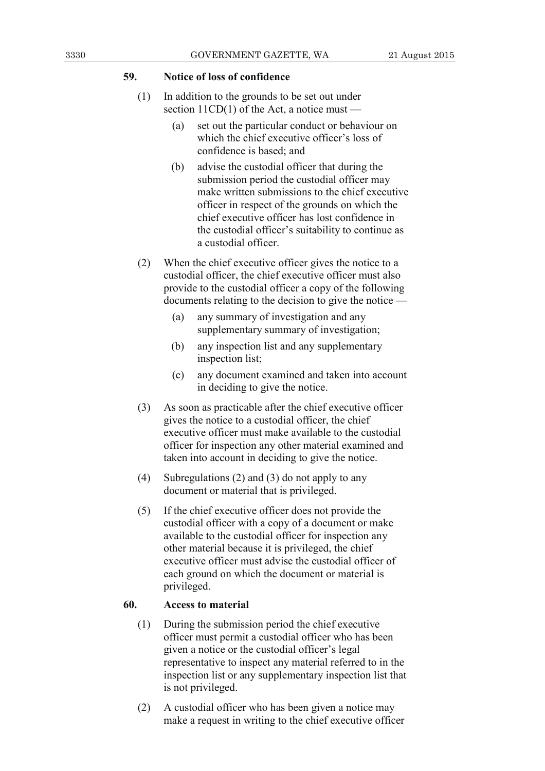## **59. Notice of loss of confidence**

- (1) In addition to the grounds to be set out under section  $11CD(1)$  of the Act, a notice must —
	- (a) set out the particular conduct or behaviour on which the chief executive officer's loss of confidence is based; and
	- (b) advise the custodial officer that during the submission period the custodial officer may make written submissions to the chief executive officer in respect of the grounds on which the chief executive officer has lost confidence in the custodial officer's suitability to continue as a custodial officer.
- (2) When the chief executive officer gives the notice to a custodial officer, the chief executive officer must also provide to the custodial officer a copy of the following documents relating to the decision to give the notice —
	- (a) any summary of investigation and any supplementary summary of investigation;
	- (b) any inspection list and any supplementary inspection list;
	- (c) any document examined and taken into account in deciding to give the notice.
- (3) As soon as practicable after the chief executive officer gives the notice to a custodial officer, the chief executive officer must make available to the custodial officer for inspection any other material examined and taken into account in deciding to give the notice.
- (4) Subregulations (2) and (3) do not apply to any document or material that is privileged.
- (5) If the chief executive officer does not provide the custodial officer with a copy of a document or make available to the custodial officer for inspection any other material because it is privileged, the chief executive officer must advise the custodial officer of each ground on which the document or material is privileged.

## **60. Access to material**

- (1) During the submission period the chief executive officer must permit a custodial officer who has been given a notice or the custodial officer's legal representative to inspect any material referred to in the inspection list or any supplementary inspection list that is not privileged.
- (2) A custodial officer who has been given a notice may make a request in writing to the chief executive officer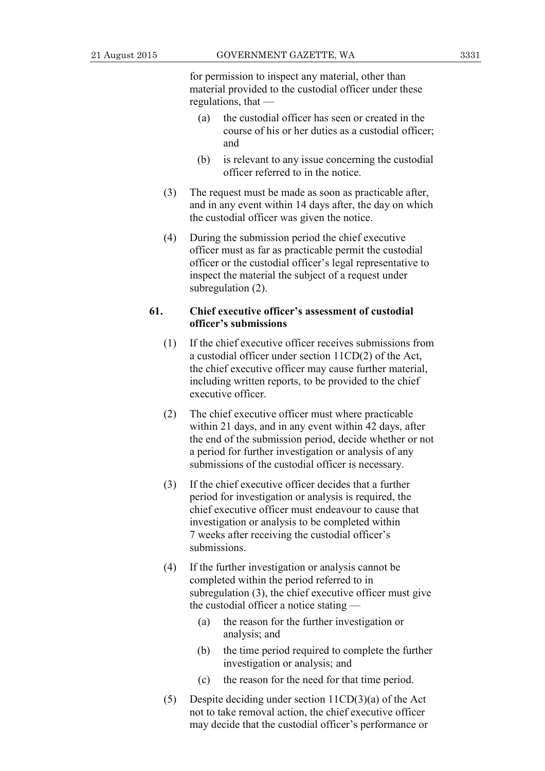for permission to inspect any material, other than material provided to the custodial officer under these regulations, that —

- (a) the custodial officer has seen or created in the course of his or her duties as a custodial officer; and
- (b) is relevant to any issue concerning the custodial officer referred to in the notice.
- (3) The request must be made as soon as practicable after, and in any event within 14 days after, the day on which the custodial officer was given the notice.
- (4) During the submission period the chief executive officer must as far as practicable permit the custodial officer or the custodial officer's legal representative to inspect the material the subject of a request under subregulation (2).

#### **61. Chief executive officer's assessment of custodial officer's submissions**

- (1) If the chief executive officer receives submissions from a custodial officer under section 11CD(2) of the Act, the chief executive officer may cause further material, including written reports, to be provided to the chief executive officer.
- (2) The chief executive officer must where practicable within 21 days, and in any event within 42 days, after the end of the submission period, decide whether or not a period for further investigation or analysis of any submissions of the custodial officer is necessary.
- (3) If the chief executive officer decides that a further period for investigation or analysis is required, the chief executive officer must endeavour to cause that investigation or analysis to be completed within 7 weeks after receiving the custodial officer's submissions.
- (4) If the further investigation or analysis cannot be completed within the period referred to in subregulation (3), the chief executive officer must give the custodial officer a notice stating —
	- (a) the reason for the further investigation or analysis; and
	- (b) the time period required to complete the further investigation or analysis; and
	- (c) the reason for the need for that time period.
- (5) Despite deciding under section 11CD(3)(a) of the Act not to take removal action, the chief executive officer may decide that the custodial officer's performance or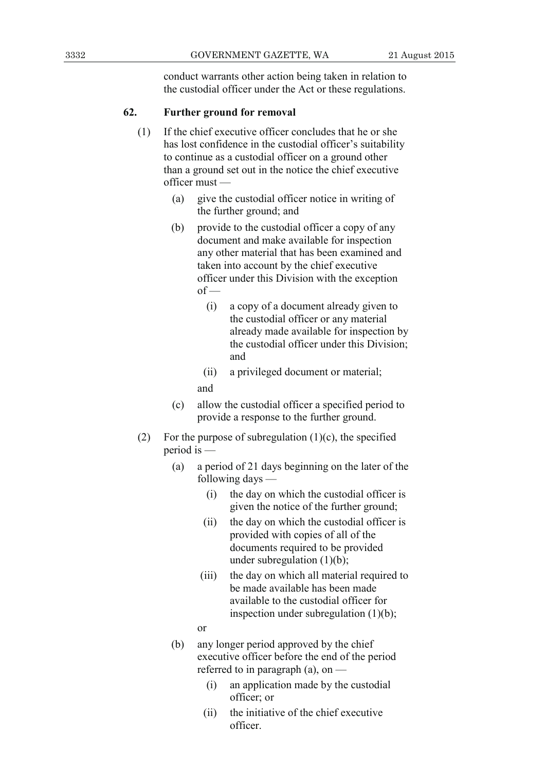conduct warrants other action being taken in relation to the custodial officer under the Act or these regulations.

## **62. Further ground for removal**

- (1) If the chief executive officer concludes that he or she has lost confidence in the custodial officer's suitability to continue as a custodial officer on a ground other than a ground set out in the notice the chief executive officer must —
	- (a) give the custodial officer notice in writing of the further ground; and
	- (b) provide to the custodial officer a copy of any document and make available for inspection any other material that has been examined and taken into account by the chief executive officer under this Division with the exception  $of$  —
		- (i) a copy of a document already given to the custodial officer or any material already made available for inspection by the custodial officer under this Division; and
		- (ii) a privileged document or material;

and

- (c) allow the custodial officer a specified period to provide a response to the further ground.
- (2) For the purpose of subregulation  $(1)(c)$ , the specified period is —
	- (a) a period of 21 days beginning on the later of the following days —
		- (i) the day on which the custodial officer is given the notice of the further ground;
		- (ii) the day on which the custodial officer is provided with copies of all of the documents required to be provided under subregulation  $(1)(b)$ ;
		- (iii) the day on which all material required to be made available has been made available to the custodial officer for inspection under subregulation (1)(b);
		- or
	- (b) any longer period approved by the chief executive officer before the end of the period referred to in paragraph (a), on —
		- (i) an application made by the custodial officer; or
		- (ii) the initiative of the chief executive officer.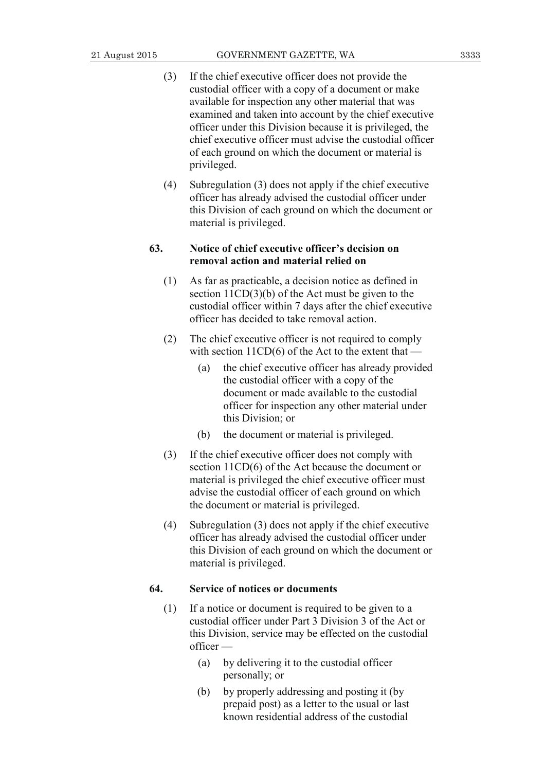- (3) If the chief executive officer does not provide the custodial officer with a copy of a document or make available for inspection any other material that was examined and taken into account by the chief executive officer under this Division because it is privileged, the chief executive officer must advise the custodial officer of each ground on which the document or material is privileged.
- (4) Subregulation (3) does not apply if the chief executive officer has already advised the custodial officer under this Division of each ground on which the document or material is privileged.

## **63. Notice of chief executive officer's decision on removal action and material relied on**

- (1) As far as practicable, a decision notice as defined in section 11CD(3)(b) of the Act must be given to the custodial officer within 7 days after the chief executive officer has decided to take removal action.
- (2) The chief executive officer is not required to comply with section  $11CD(6)$  of the Act to the extent that —
	- (a) the chief executive officer has already provided the custodial officer with a copy of the document or made available to the custodial officer for inspection any other material under this Division; or
	- (b) the document or material is privileged.
- (3) If the chief executive officer does not comply with section 11CD(6) of the Act because the document or material is privileged the chief executive officer must advise the custodial officer of each ground on which the document or material is privileged.
- (4) Subregulation (3) does not apply if the chief executive officer has already advised the custodial officer under this Division of each ground on which the document or material is privileged.

#### **64. Service of notices or documents**

- (1) If a notice or document is required to be given to a custodial officer under Part 3 Division 3 of the Act or this Division, service may be effected on the custodial officer —
	- (a) by delivering it to the custodial officer personally; or
	- (b) by properly addressing and posting it (by prepaid post) as a letter to the usual or last known residential address of the custodial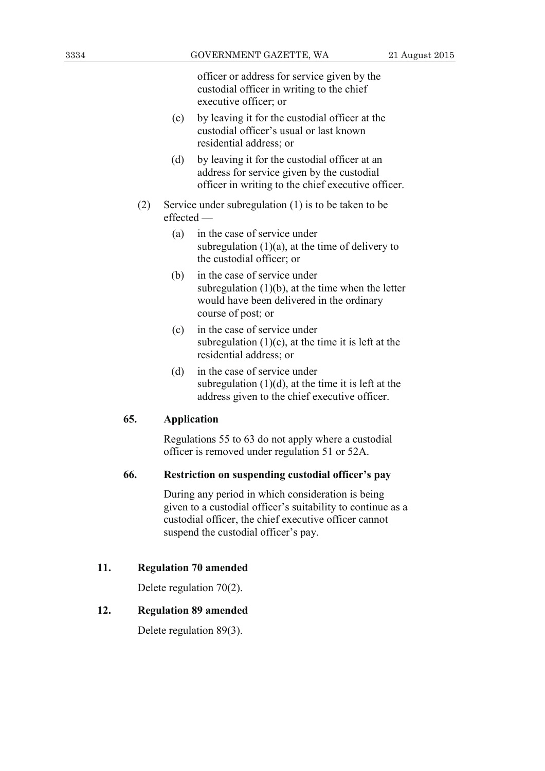officer or address for service given by the custodial officer in writing to the chief executive officer; or

- (c) by leaving it for the custodial officer at the custodial officer's usual or last known residential address; or
- (d) by leaving it for the custodial officer at an address for service given by the custodial officer in writing to the chief executive officer.
- (2) Service under subregulation (1) is to be taken to be effected —
	- (a) in the case of service under subregulation  $(1)(a)$ , at the time of delivery to the custodial officer; or
	- (b) in the case of service under subregulation  $(1)(b)$ , at the time when the letter would have been delivered in the ordinary course of post; or
	- (c) in the case of service under subregulation  $(1)(c)$ , at the time it is left at the residential address; or
	- (d) in the case of service under subregulation  $(1)(d)$ , at the time it is left at the address given to the chief executive officer.

#### **65. Application**

 Regulations 55 to 63 do not apply where a custodial officer is removed under regulation 51 or 52A.

## **66. Restriction on suspending custodial officer's pay**

 During any period in which consideration is being given to a custodial officer's suitability to continue as a custodial officer, the chief executive officer cannot suspend the custodial officer's pay.

## **11. Regulation 70 amended**

Delete regulation 70(2).

## **12. Regulation 89 amended**

Delete regulation 89(3).